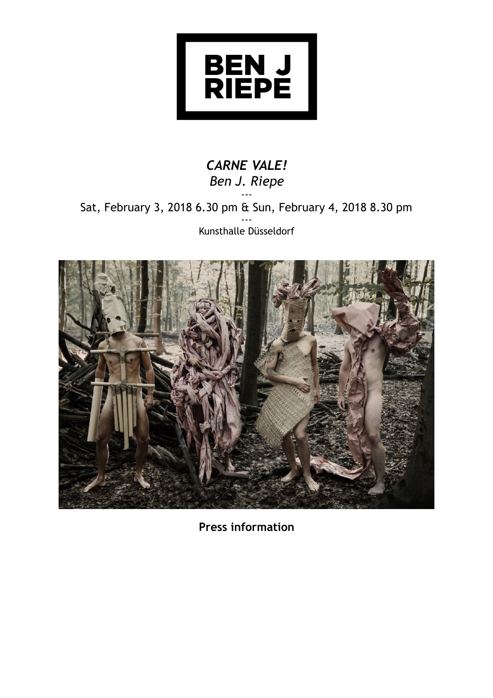

## *CARNE VALE! Ben J. Riepe* ---

Sat, February 3, 2018 6.30 pm & Sun, February 4, 2018 8.30 pm --- Kunsthalle Düsseldorf



**Press information**